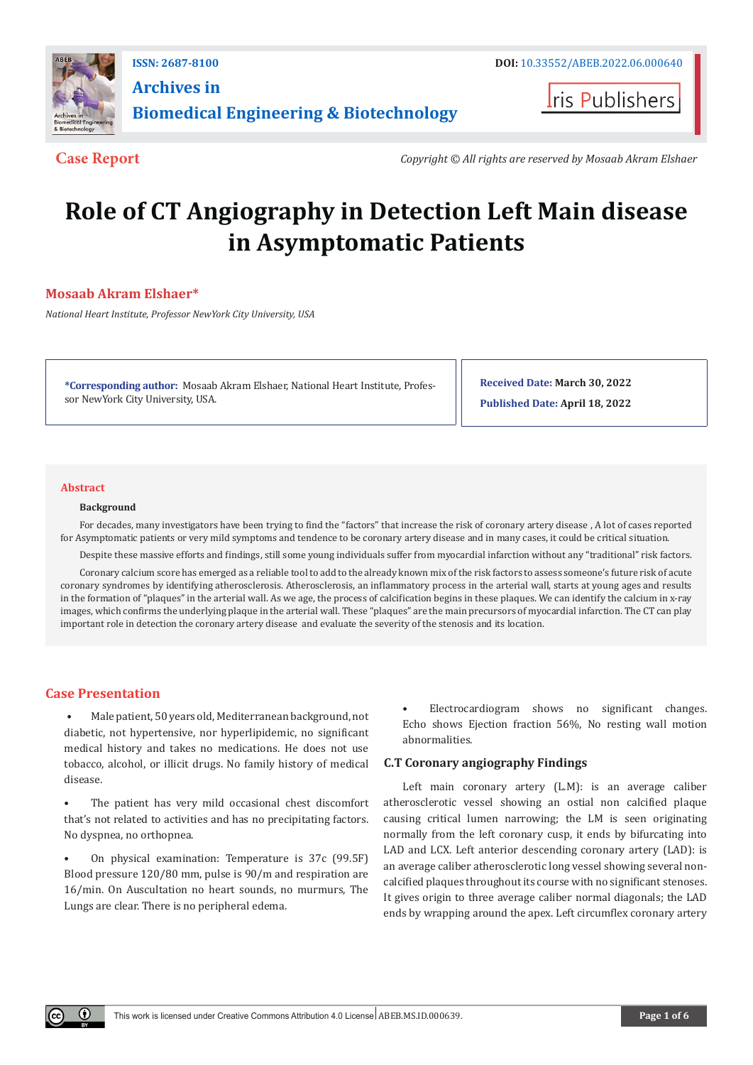

**Archives in Biomedical Engineering & Biotechnology**

**I**ris Publishers

**Case Report** *Copyright © All rights are reserved by Mosaab Akram Elshaer*

# **Role of CT Angiography in Detection Left Main disease in Asymptomatic Patients**

# **Mosaab Akram Elshaer\***

*National Heart Institute, Professor NewYork City University, USA*

**\*Corresponding author:** Mosaab Akram Elshaer, National Heart Institute, Professor NewYork City University, USA.

**Received Date: March 30, 2022 Published Date: April 18, 2022**

#### **Abstract**

#### **Background**

For decades, many investigators have been trying to find the "factors" that increase the risk of coronary artery disease , A lot of cases reported for Asymptomatic patients or very mild symptoms and tendence to be coronary artery disease and in many cases, it could be critical situation.

Despite these massive efforts and findings, still some young individuals suffer from myocardial infarction without any "traditional" risk factors.

Coronary calcium score has emerged as a reliable tool to add to the already known mix of the risk factors to assess someone's future risk of acute coronary syndromes by identifying atherosclerosis. Atherosclerosis, an inflammatory process in the arterial wall, starts at young ages and results in the formation of "plaques" in the arterial wall. As we age, the process of calcification begins in these plaques. We can identify the calcium in x-ray images, which confirms the underlying plaque in the arterial wall. These "plaques" are the main precursors of myocardial infarction. The CT can play important role in detection the coronary artery disease and evaluate the severity of the stenosis and its location.

#### **Case Presentation**

 $\odot$ 

 • Male patient, 50 years old, Mediterranean background, not diabetic, not hypertensive, nor hyperlipidemic, no significant medical history and takes no medications. He does not use tobacco, alcohol, or illicit drugs. No family history of medical disease.

The patient has very mild occasional chest discomfort that's not related to activities and has no precipitating factors. No dyspnea, no orthopnea.

• On physical examination: Temperature is 37c (99.5F) Blood pressure 120/80 mm, pulse is 90/m and respiration are 16/min. On Auscultation no heart sounds, no murmurs, The Lungs are clear. There is no peripheral edema.

• Electrocardiogram shows no significant changes. Echo shows Ejection fraction 56%, No resting wall motion abnormalities.

#### **C.T Coronary angiography Findings**

Left main coronary artery (L.M): is an average caliber atherosclerotic vessel showing an ostial non calcified plaque causing critical lumen narrowing; the LM is seen originating normally from the left coronary cusp, it ends by bifurcating into LAD and LCX. Left anterior descending coronary artery (LAD): is an average caliber atherosclerotic long vessel showing several noncalcified plaques throughout its course with no significant stenoses. It gives origin to three average caliber normal diagonals; the LAD ends by wrapping around the apex. Left circumflex coronary artery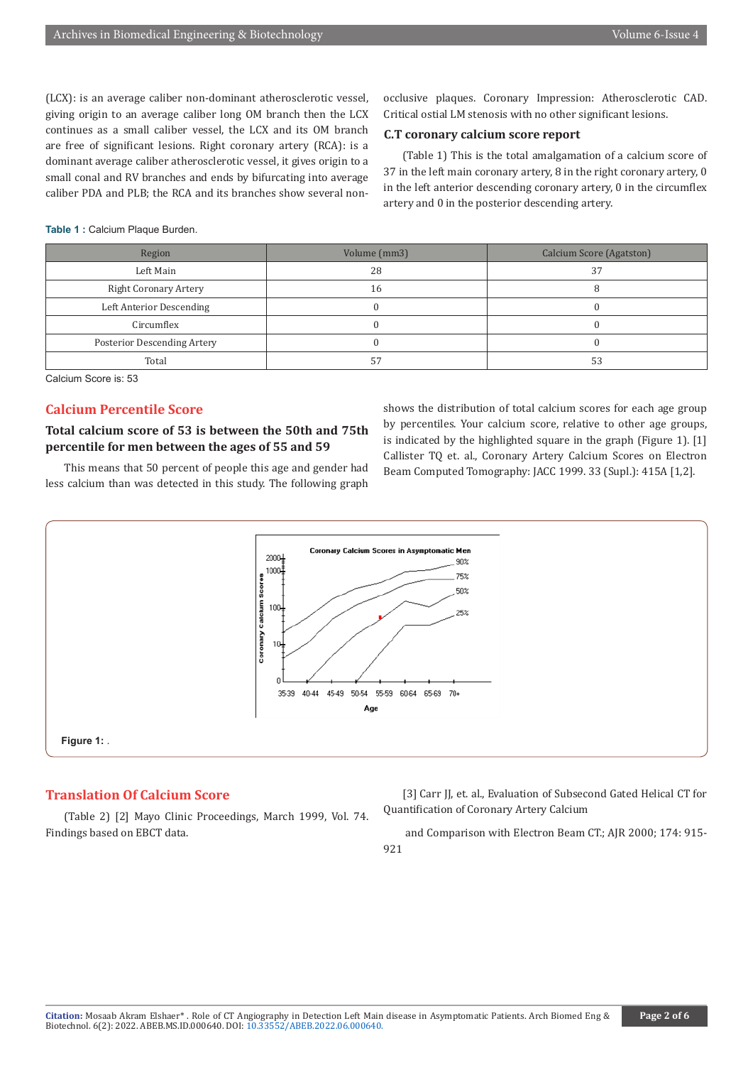(LCX): is an average caliber non-dominant atherosclerotic vessel, giving origin to an average caliber long OM branch then the LCX continues as a small caliber vessel, the LCX and its OM branch are free of significant lesions. Right coronary artery (RCA): is a dominant average caliber atherosclerotic vessel, it gives origin to a small conal and RV branches and ends by bifurcating into average caliber PDA and PLB; the RCA and its branches show several nonocclusive plaques. Coronary Impression: Atherosclerotic CAD. Critical ostial LM stenosis with no other significant lesions.

## **C.T coronary calcium score report**

(Table 1) This is the total amalgamation of a calcium score of 37 in the left main coronary artery, 8 in the right coronary artery, 0 in the left anterior descending coronary artery, 0 in the circumflex artery and 0 in the posterior descending artery.

Table 1 : Calcium Plaque Burden.

| Region                       | Volume (mm3) | <b>Calcium Score (Agatston)</b> |
|------------------------------|--------------|---------------------------------|
| Left Main                    | 28           | 37                              |
| <b>Right Coronary Artery</b> | 16           |                                 |
| Left Anterior Descending     |              |                                 |
| Circumflex                   |              |                                 |
| Posterior Descending Artery  |              |                                 |
| Total                        |              | 53                              |

Calcium Score is: 53

# **Calcium Percentile Score**

# **Total calcium score of 53 is between the 50th and 75th percentile for men between the ages of 55 and 59**

This means that 50 percent of people this age and gender had less calcium than was detected in this study. The following graph shows the distribution of total calcium scores for each age group by percentiles. Your calcium score, relative to other age groups, is indicated by the highlighted square in the graph (Figure 1). [1] Callister TQ et. al., Coronary Artery Calcium Scores on Electron Beam Computed Tomography: JACC 1999. 33 (Supl.): 415A [1,2].



## **Translation Of Calcium Score**

(Table 2) [2] Mayo Clinic Proceedings, March 1999, Vol. 74. Findings based on EBCT data.

[3] Carr JJ, et. al., Evaluation of Subsecond Gated Helical CT for Quantification of Coronary Artery Calcium

 and Comparison with Electron Beam CT.; AJR 2000; 174: 915- 921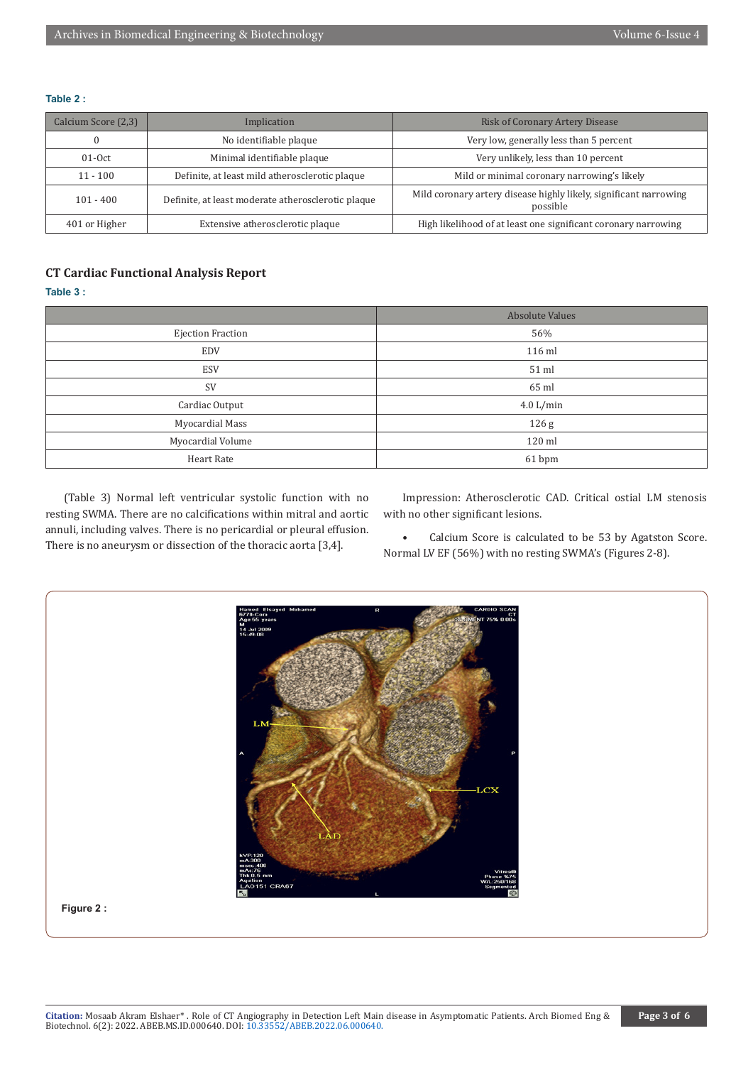#### **Table 2 :**

| Calcium Score (2,3) | Implication                                        | <b>Risk of Coronary Artery Disease</b>                                        |
|---------------------|----------------------------------------------------|-------------------------------------------------------------------------------|
|                     | No identifiable plaque                             | Very low, generally less than 5 percent                                       |
| $01-0ct$            | Minimal identifiable plaque                        | Very unlikely, less than 10 percent                                           |
| $11 - 100$          | Definite, at least mild atherosclerotic plaque     | Mild or minimal coronary narrowing's likely                                   |
| $101 - 400$         | Definite, at least moderate atherosclerotic plaque | Mild coronary artery disease highly likely, significant narrowing<br>possible |
| 401 or Higher       | Extensive atherosclerotic plaque                   | High likelihood of at least one significant coronary narrowing                |

# **CT Cardiac Functional Analysis Report**

# **Table 3 :**

|                   | <b>Absolute Values</b> |
|-------------------|------------------------|
| Ejection Fraction | 56%                    |
| <b>EDV</b>        | 116 ml                 |
| ESV               | 51 ml                  |
| SV                | 65 ml                  |
| Cardiac Output    | 4.0 L/min              |
| Myocardial Mass   | 126 <sub>g</sub>       |
| Myocardial Volume | 120 ml                 |
| Heart Rate        | 61 bpm                 |

(Table 3) Normal left ventricular systolic function with no resting SWMA. There are no calcifications within mitral and aortic annuli, including valves. There is no pericardial or pleural effusion. There is no aneurysm or dissection of the thoracic aorta [3,4].

Impression: Atherosclerotic CAD. Critical ostial LM stenosis with no other significant lesions.

• Calcium Score is calculated to be 53 by Agatston Score. Normal LV EF (56%) with no resting SWMA's (Figures 2-8).

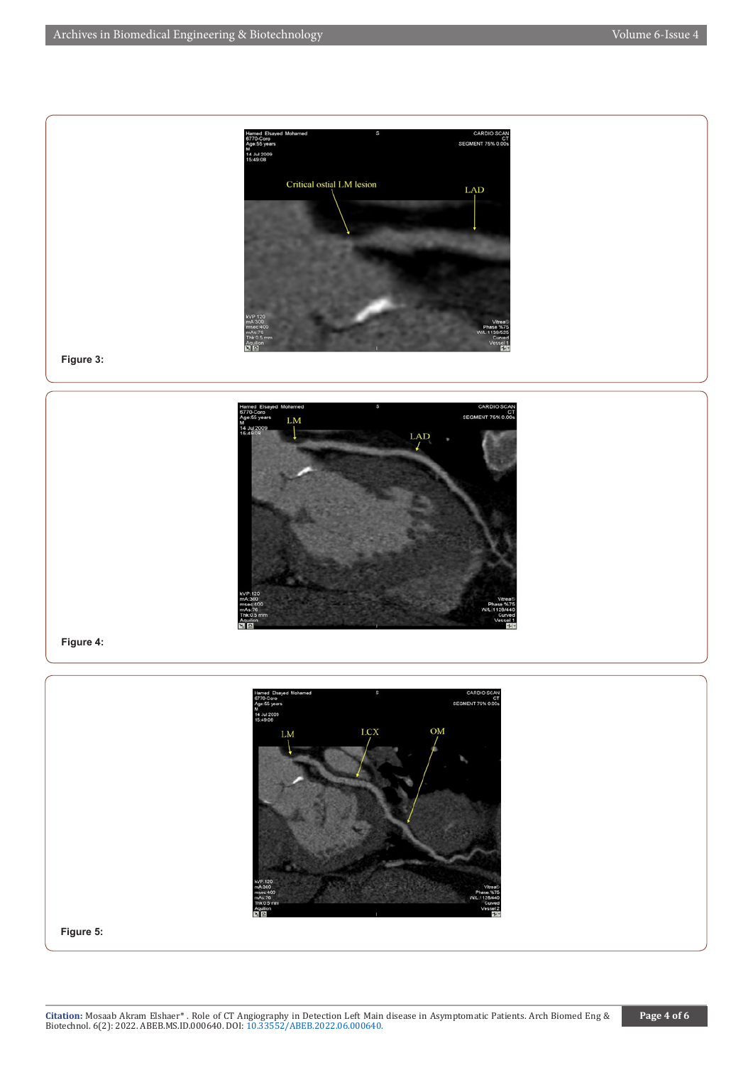

**Figure 3:**



## **Figure 4:**



**Figure 5:**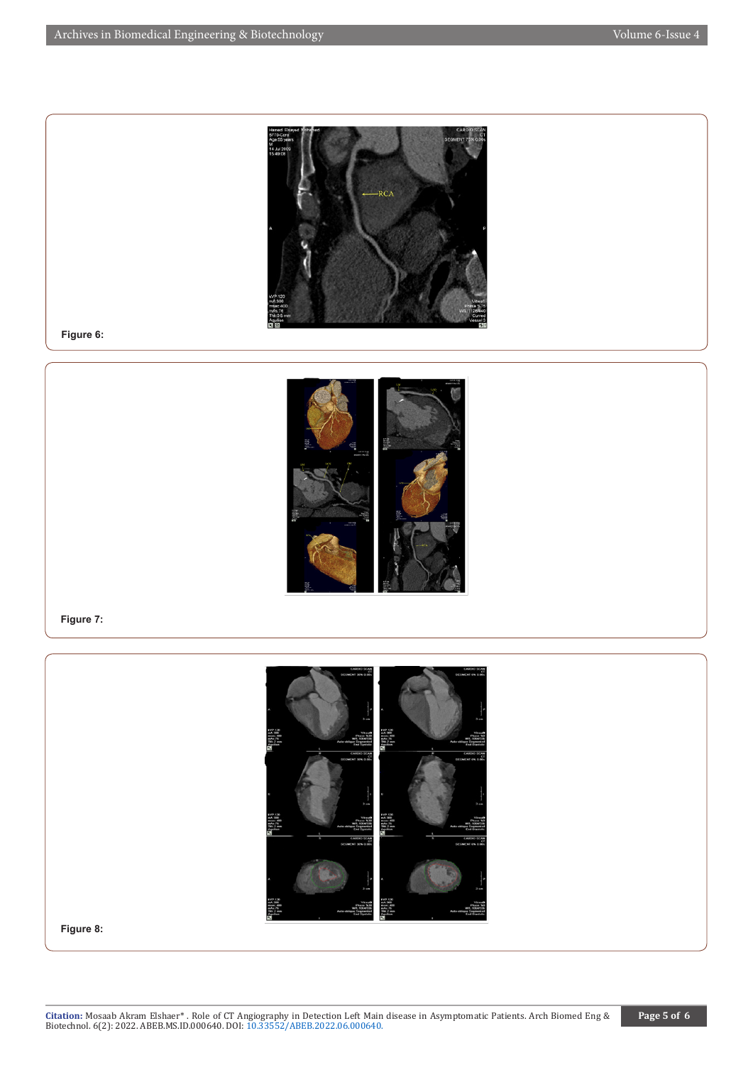

**Figure 6:**



## **Figure 7:**



**Figure 8:**